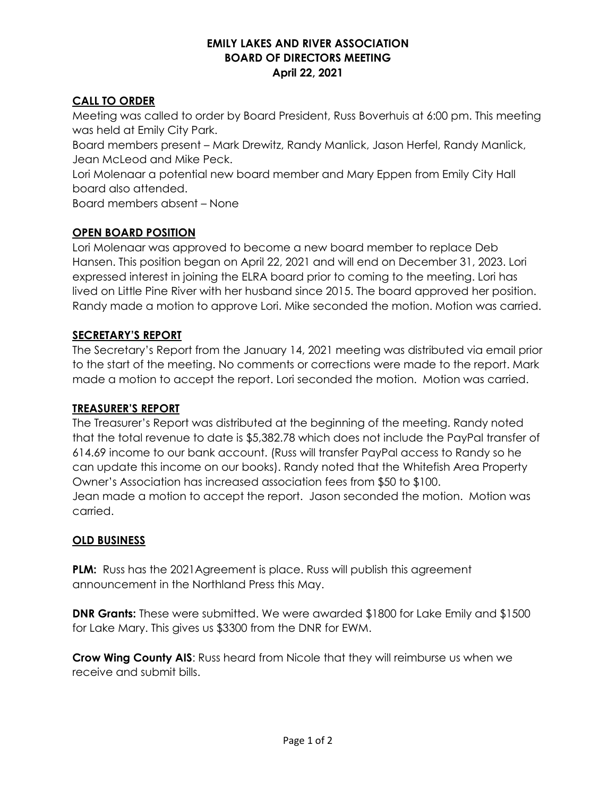### **EMILY LAKES AND RIVER ASSOCIATION BOARD OF DIRECTORS MEETING April 22, 2021**

# **CALL TO ORDER**

Meeting was called to order by Board President, Russ Boverhuis at 6:00 pm. This meeting was held at Emily City Park.

Board members present – Mark Drewitz, Randy Manlick, Jason Herfel, Randy Manlick, Jean McLeod and Mike Peck.

Lori Molenaar a potential new board member and Mary Eppen from Emily City Hall board also attended.

Board members absent – None

# **OPEN BOARD POSITION**

Lori Molenaar was approved to become a new board member to replace Deb Hansen. This position began on April 22, 2021 and will end on December 31, 2023. Lori expressed interest in joining the ELRA board prior to coming to the meeting. Lori has lived on Little Pine River with her husband since 2015. The board approved her position. Randy made a motion to approve Lori. Mike seconded the motion. Motion was carried.

# **SECRETARY'S REPORT**

The Secretary's Report from the January 14, 2021 meeting was distributed via email prior to the start of the meeting. No comments or corrections were made to the report. Mark made a motion to accept the report. Lori seconded the motion. Motion was carried.

## **TREASURER'S REPORT**

The Treasurer's Report was distributed at the beginning of the meeting. Randy noted that the total revenue to date is \$5,382.78 which does not include the PayPal transfer of 614.69 income to our bank account. (Russ will transfer PayPal access to Randy so he can update this income on our books). Randy noted that the Whitefish Area Property Owner's Association has increased association fees from \$50 to \$100. Jean made a motion to accept the report. Jason seconded the motion. Motion was carried.

## **OLD BUSINESS**

**PLM:** Russ has the 2021Agreement is place. Russ will publish this agreement announcement in the Northland Press this May.

**DNR Grants:** These were submitted. We were awarded \$1800 for Lake Emily and \$1500 for Lake Mary. This gives us \$3300 from the DNR for EWM.

**Crow Wing County AIS**: Russ heard from Nicole that they will reimburse us when we receive and submit bills.